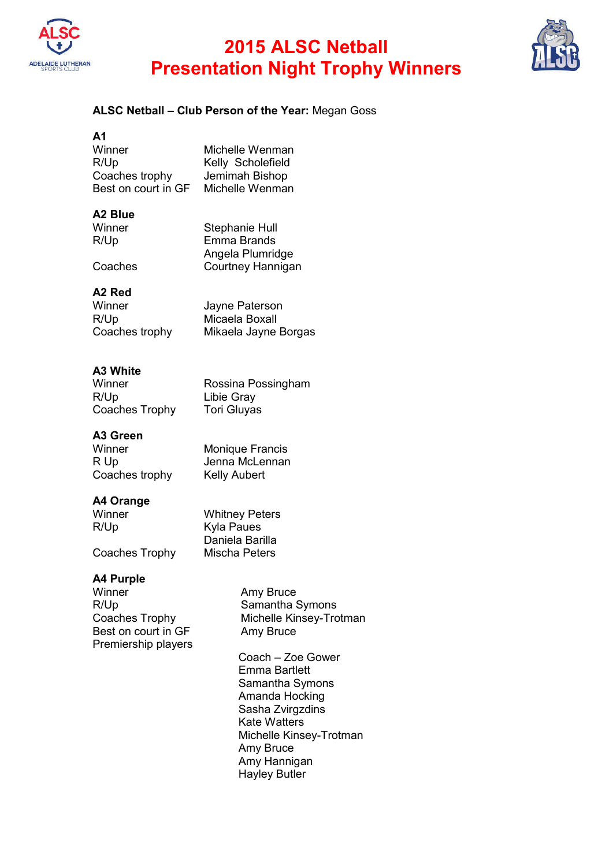

### **2015 ALSC Netball Presentation Night Trophy Winners**



#### **ALSC Netball – Club Person of the Year:** Megan Goss

| А1                  |                   |
|---------------------|-------------------|
| Winner              | Michelle Wenman   |
| R/Up                | Kelly Scholefield |
| Coaches trophy      | Jemimah Bishop    |
| Best on court in GF | Michelle Wenman   |
|                     |                   |

### **A2 Blue**

| Winner  | Stephanie Hull    |
|---------|-------------------|
| R/Up    | Emma Brands       |
|         | Angela Plumridge  |
| Coaches | Courtney Hannigan |

### **A2 Red**

| Winner         | Jayne Paterson       |
|----------------|----------------------|
| R/Up           | Micaela Boxall       |
| Coaches trophy | Mikaela Jayne Borgas |

### **A3 White**

| Winner         | Rossina Possingham |
|----------------|--------------------|
| R/Up           | Libie Gray         |
| Coaches Trophy | Tori Gluyas        |

#### **A3 Green**

| Winner         | Monique Francis     |
|----------------|---------------------|
| R Up           | Jenna McLennan      |
| Coaches trophy | <b>Kelly Aubert</b> |

#### **A4 Orange**

| Winner         | <b>Whitney Peters</b> |
|----------------|-----------------------|
| R/Up           | <b>Kyla Paues</b>     |
|                | Daniela Barilla       |
| Coaches Trophy | Mischa Peters         |

**A4 Purple** Winner Many Bruce Amy Bruce<br>R/Up Samantha ( R/Up<br>Coaches Trophy Samantha Symons<br>Michelle Kinsey-Tro Best on court in GF Amy Bruce Premiership players

Michelle Kinsey-Trotman

Coach – Zoe Gower Emma Bartlett Samantha Symons Amanda Hocking Sasha Zvirgzdins Kate Watters Michelle Kinsey-Trotman Amy Bruce Amy Hannigan Hayley Butler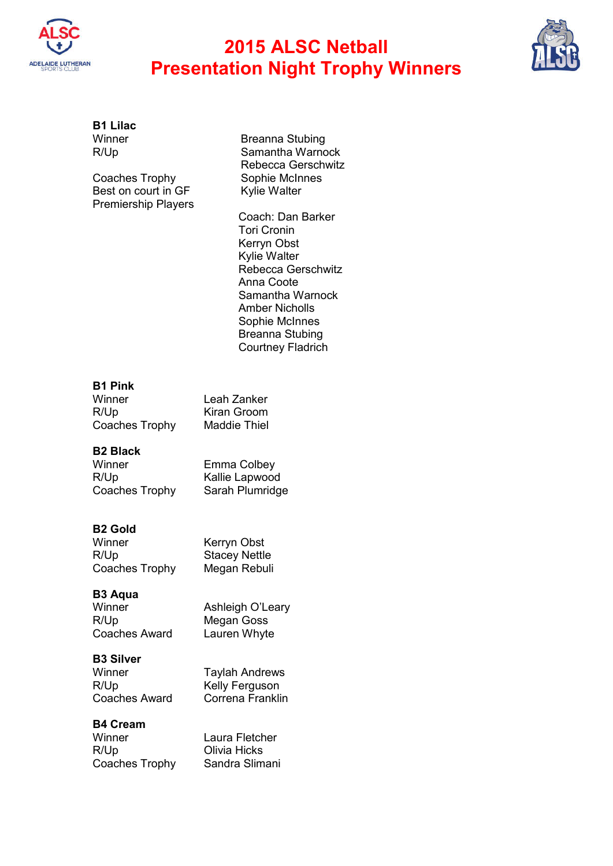

### **2015 ALSC Netball Presentation Night Trophy Winners**



# **B1 Lilac**

Coaches Trophy Best on court in GF Kylie Walter Premiership Players

Winner Breanna Stubing<br>R/Up Samantha Warno Samantha Warnock Rebecca Gerschwitz<br>Sophie McInnes

> Coach: Dan Barker Tori Cronin Kerryn Obst Kylie Walter Rebecca Gerschwitz Anna Coote Samantha Warnock Amber Nicholls Sophie McInnes Breanna Stubing Courtney Fladrich

#### **B1 Pink**

| Winner         | Leah Zanker         |
|----------------|---------------------|
| R/Up           | Kiran Groom         |
| Coaches Trophy | <b>Maddie Thiel</b> |

#### **B2 Black**

| Winner         | Emma Colbey     |
|----------------|-----------------|
| R/Up           | Kallie Lapwood  |
| Coaches Trophy | Sarah Plumridge |

#### **B2 Gold**

| Winner         | Kerryn Obst          |
|----------------|----------------------|
| R/Up           | <b>Stacey Nettle</b> |
| Coaches Trophy | Megan Rebuli         |

### **B3 Aqua**

R/Up Megan Goss<br>Coaches Award Lauren Whyte Coaches Award

Ashleigh O'Leary

### **B3 Silver**

Coaches Award

Winner Taylah Andrews<br>R/Up Kelly Ferguson Kelly Ferguson<br>Correna Franklin

#### **B4 Cream**

| Winner         |  |
|----------------|--|
| R/Up           |  |
| Coaches Trophy |  |

Laura Fletcher **Olivia Hicks** Sandra Slimani